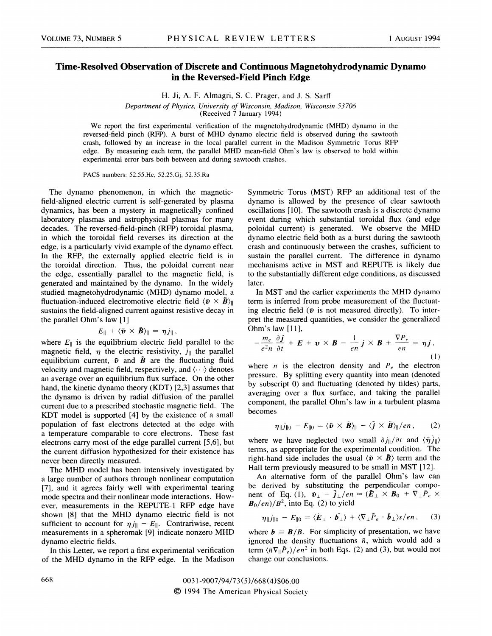## Time-Resolved Observation of Discrete and Continuous Magnetohydrodynamic Dynamo in the Reversed-Field Pinch Edge

H. Ji, A. F. Almagri, S. C. Prager, and J. S. Sarff

Department of Physics, University of Wisconsin, Madison, Wisconsin 53706

(Received 7 January 1994)

We report the first experimental verification of the magnetohydrodynamic (MHD) dynamo in the reversed-field pinch (RFP). A burst of MHD dynamo electric field is observed during the sawtooth crash, followed by an increase in the local parallel current in the Madison Symmetric Torus RFP edge. By measuring each term, the parallel MHD mean-field Ohm's law is observed to hold within experimental error bars both between and during sawtooth crashes.

PACS numbers: 52.55.Hc, 52.25.Gj, 52.35.Ra

The dynamo phenomenon, in which the magneticfield-aligned electric current is self-generated by plasma dynamics, has been a mystery in magnetically confined laboratory plasmas and astrophysical plasmas for many decades. The reversed-field-pinch (RFP) toroidal plasma, in which the toroidal field reverses its direction at the edge, is a particularly vivid example of the dynamo effect. In the RFP, the externally applied electric field is in the toroidal direction. Thus, the poloidal current near the edge, essentially parallel to the magnetic field, is generated and maintained by the dynamo. In the widely studied magnetohydrodynamic (MHD) dynamo model, a fluctuation-induced electromotive electric field  $\langle \tilde{v} \times \tilde{B} \rangle_{\parallel}$ sustains the field-aligned current against resistive decay in the parallel Ohm's law [1]

$$
E_{\parallel} + \langle \tilde{\boldsymbol{v}} \times \tilde{\boldsymbol{B}} \rangle_{\parallel} = \eta j_{\parallel},
$$

where  $E_{\parallel}$  is the equilibrium electric field parallel to the magnetic field,  $\eta$  the electric resistivity,  $j_{||}$  the parallel equilibrium current,  $\tilde{v}$  and  $\tilde{B}$  are the fluctuating fluid velocity and magnetic field, respectively, and  $\langle \cdots \rangle$  denotes an average over an equilibrium flux surface. On the other hand, the kinetic dynamo theory (KDT) [2,3] assumes that the dynamo is driven by radial diffusion of the parallel current due to a prescribed stochastic magnetic field. The KDT model is supported [4] by the existence of a small population of fast electrons detected at the edge with a temperature comparable to core electrons. These fast electrons carry most of the edge parallel current [5,6], but the current diffusion hypothesized for their existence has never been directly measured.

The MHD model has been intensively investigated by a large number of authors through nonlinear computation [7], and it agrees fairly well with experimental tearing mode spectra and their nonlinear mode interactions. However, measurements in the REPUTE-1 RFP edge have shown [8] that the MHD dynamo electric field is not sufficient to account for  $\eta j_{\parallel} - E_{\parallel}$ . Contrariwise, recent measurements in a spheromak [9] indicate nonzero MHD dynamo electric fields.

In this Letter, we report a first experimental verification of the MHD dynamo in the RFP edge. In the Madison Symmetric Torus (MST) RFP an additional test of the dynamo is allowed by the presence of clear sawtooth oscillations [10]. The sawtooth crash is a discrete dynamo event during which substantial toroidal fiux (and edge poloidal current) is generated. We observe the MHD dynamo electric field both as a burst during the sawtooth crash and continuously between the crashes, sufficient to sustain the parallel current. The difference in dynamo mechanisms active in MST and REPUTE is likely due to the substantially different edge conditions, as discussed later.

In MST and the earlier experiments the MHD dynamo term is inferred from probe measurement of the fluctuating electric field ( $\tilde{v}$  is not measured directly). To interpret the measured quantities, we consider the generalized Ohm's law [11],

$$
-\frac{m_e}{e^2n}\frac{\partial \boldsymbol{j}}{\partial t} + \boldsymbol{E} + \boldsymbol{v} \times \boldsymbol{B} - \frac{1}{en}\boldsymbol{j} \times \boldsymbol{B} + \frac{\nabla P_e}{en} = \eta \boldsymbol{j},
$$
\n(1)

where *n* is the electron density and  $P_e$  the electron pressure. By splitting every quantity into mean (denoted by subscript 0) and fiuctuating (denoted by tildes) parts, averaging over a flux surface, and taking the paralle1 component, the parallel Ohm's law in a turbulent plasma becomes

$$
\eta_{\parallel} j_{\parallel 0} - E_{\parallel 0} = \langle \tilde{\boldsymbol{\nu}} \times \tilde{\boldsymbol{B}} \rangle_{\parallel} - \langle \tilde{\boldsymbol{j}} \times \tilde{\boldsymbol{B}} \rangle_{\parallel}/en \,, \qquad (2)
$$

where we have neglected two small  $\partial j_{\parallel}/\partial t$  and  $\langle \tilde{\eta} j_{\parallel} \rangle$ terms, as appropriate for the experimental condition. The right-hand side includes the usual  $\langle \tilde{v} \times \tilde{B} \rangle$  term and the Hall term previously measured to be small in MST [12].

An alternative form of the parallel Ohm's law can be derived by substituting the perpendicular component of Eq. (1),  $\tilde{\mathbf{v}}_{\perp} - \tilde{\mathbf{j}}_{\perp}/en \approx (\tilde{\mathbf{E}}_{\perp} \times \mathbf{B}_0 + \nabla_{\perp} \tilde{P}_e \times$  $B_0/en)/B^2$ , into Eq. (2) to yield

$$
\eta_{\parallel} j_{\parallel 0} - E_{\parallel 0} = \langle \tilde{E}_{\perp} \cdot \tilde{b_{\perp}} \rangle + \langle \nabla_{\perp} \tilde{P}_e \cdot \tilde{b}_{\perp} \rangle s / en , \qquad (3)
$$

where  $b = B/B$ . For simplicity of presentation, we have ignored the density fluctuations  $\tilde{n}$ , which would add a term  $\langle \tilde{n} \nabla_{\parallel} \tilde{P}_e \rangle / en^2$  in both Eqs. (2) and (3), but would not change our conclusions.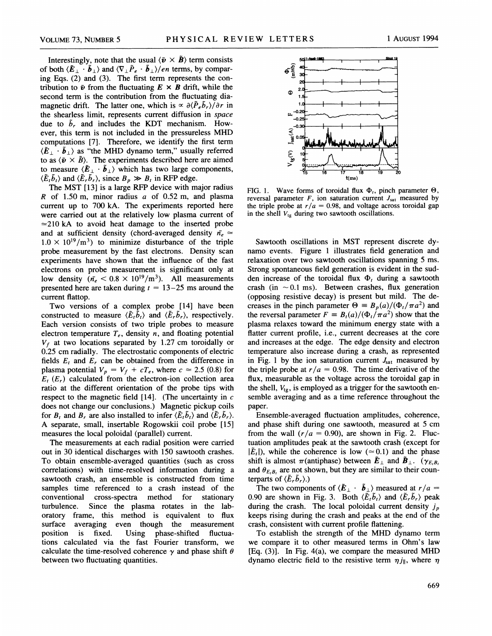Interestingly, note that the usual  $\langle \tilde{v} \times \tilde{B} \rangle$  term consists of both  $\langle \tilde{E}_{\perp} \cdot \tilde{b}_{\perp} \rangle$  and  $\langle \nabla_{\perp} \tilde{P}_e \cdot \tilde{b}_{\perp} \rangle /en$  terms, by comparing Eqs. (2) and (3). The first term represents the contribution to  $\tilde{v}$  from the fluctuating  $E \times B$  drift, while the second term is the contribution from the fluctuating diamagnetic drift. The latter one, which is  $\propto \partial \langle \tilde{P}_e \tilde{b}_r \rangle / \partial r$  in the shearless limit, represents current diffusion in space due to  $\tilde{b}_r$  and includes the KDT mechanism. However, this term is not included in the pressureless MHD computations [7]. Therefore, we identify the first term  $\langle \tilde{E}_{\perp} \cdot \tilde{b}_{\perp} \rangle$  as "the MHD dynamo term," usually referred to as  $\langle \tilde{\mathbf{v}} \times \tilde{\mathbf{B}} \rangle$ . The experiments described here are aimed to measure  $\langle \tilde{E}_{\perp} \cdot \tilde{b}_{\perp} \rangle$  which has two large components,  $\langle \tilde{E}_t \tilde{b}_t \rangle$  and  $\langle \tilde{E}_r \tilde{b}_r \rangle$ , since  $B_p \gg B_t$  in RFP edge.

The MST [13] is a large RFP device with major radius R of 1.50 m, minor radius  $a$  of 0.52 m, and plasma current up to 700 kA. The experiments reported here were carried out at the relatively low plasma current of  $\approx$  210 kA to avoid heat damage to the inserted probe and at sufficient density (chord-averaged density  $n_e \approx$  $1.0 \times 10^{19}/m^3$ ) to minimize disturbance of the triple probe measurement by the fast electrons. Density scan experiments have shown that the influence of the fast electrons on probe measurement is significant only at low density ( $\bar{n_e}$  < 0.8 × 10<sup>19</sup>/m<sup>3</sup>). All measurements presented here are taken during  $t = 13-25$  ms around the current flattop.

Two versions of a complex probe [14] have been constructed to measure  $\langle \tilde{E}_t \tilde{b}_t \rangle$  and  $\langle \tilde{E}_r \tilde{b}_r \rangle$ , respectively. Each version consists of two triple probes to measure electron temperature  $T_e$ , density n, and floating potential  $V_f$  at two locations separated by 1.27 cm toroidally or 0.25 cm radially. The electrostatic components of electric fields  $E_t$  and  $E_r$  can be obtained from the difference in plasma potential  $V_p = V_f + cT_e$ , where  $c \approx 2.5$  (0.8) for  $E_t$  ( $E_r$ ) calculated from the electron-ion collection area ratio at the different orientation of the probe tips with respect to the magnetic field  $[14]$ . (The uncertainty in c does not change our conclusions.) Magnetic pickup coils for  $B_t$  and  $B_r$  are also installed to infer  $\langle \tilde{E}_t \tilde{b}_t \rangle$  and  $\langle \tilde{E}_r \tilde{b}_r \rangle$ . A separate, small, insertable Rogowskii coil probe [15] measures the local poloidal (parallel) current.

The measurements at each radial position were carried out in 30 identical discharges with 150 sawtooth crashes. To obtain ensemble-averaged quantities (such as cross correlations) with time-resolved information during a sawtooth crash, an ensemble is constructed from time samples time referenced to a crash instead of the conventional cross-spectra method for stationary turbulence. Since the plasma rotates in the laboratory frame, this method is equivalent to flux surface averaging even though the measurement position is fixed. Using phase-shifted fluctuations calculated via the fast Fourier transform, we calculate the time-resolved coherence  $\gamma$  and phase shift  $\theta$ between two fluctuating quantities.



FIG. 1. Wave forms of toroidal flux  $\Phi_t$ , pinch parameter  $\Theta$ , reversal parameter  $F$ , ion saturation current  $J<sub>sat</sub>$  measured by the triple probe at  $r/a = 0.98$ , and voltage across toroidal gap in the shell  $V_{\text{te}}$  during two sawtooth oscillations.

Sawtooth oscillations in MST represent discrete dynamo events. Figure 1 illustrates field generation and relaxation over two sawtooth oscillations spanning 5 ms. Strong spontaneous field generation is evident in the sudden increase of the toroidal flux  $\Phi_t$  during a sawtooth crash (in  $\sim$  0.1 ms). Between crashes, flux generation (opposing resistive decay) is present but mild. The decreases in the pinch parameter  $\Theta = B_p(a)/(\Phi_t/\pi a^2)$  and the reversal parameter  $F = B_t(a)/(\Phi_t/\pi a^2)$  show that the plasma relaxes toward the minimum energy state with a flatter current profile, i.e., current decreases at the core and increases at the edge. The edge density and electron temperature also increase during a crash, as represented in Fig. 1 by the ion saturation current  $J<sub>sat</sub>$  measured by the triple probe at  $r/a = 0.98$ . The time derivative of the flux, measurable as the voltage across the toroidal gap in the shell,  $V_{tg}$ , is employed as a trigger for the sawtooth ensemble averaging and as a time reference throughout the paper.

Ensemble-averaged fluctuation amplitudes, coherence, and phase shift during one sawtooth, measured at 5 cm from the wall  $(r/a = 0.90)$ , are shown in Fig. 2. Fluctuation amplitudes peak at the sawtooth crash (except for  $|\tilde{E}_t|$ , while the coherence is low ( $\approx 0.1$ ) and the phase shift is almost  $\pi$ (antiphase) between  $\tilde{E}_{\perp}$  and  $\tilde{B}_{\perp}$ . ( $\gamma_{E,B}$ , and  $\theta_{E,B}$ , are not shown, but they are similar to their counterparts of  $\langle \tilde{E}_r \tilde{b}_r \rangle$ .)

The two components of  $\langle \tilde{E}_{\perp} \cdot \tilde{b}_{\perp} \rangle$  measured at  $r/a =$ 0.90 are shown in Fig. 3. Both  $\langle \tilde{E}_t \tilde{b}_t \rangle$  and  $\langle \tilde{E}_t \tilde{b}_t \rangle$  peak during the crash. The local poloidal current density  $j_p$ keeps rising during the crash and peaks at the end of the crash, consistent with current profile flattening.

To establish the strength of the MHD dynamo term we compare it to other measured terms in Ohm's law [Eq. (3)]. In Fig. 4(a), we compare the measured MHD dynamo electric field to the resistive term  $\eta j_{\parallel}$ , where  $\eta$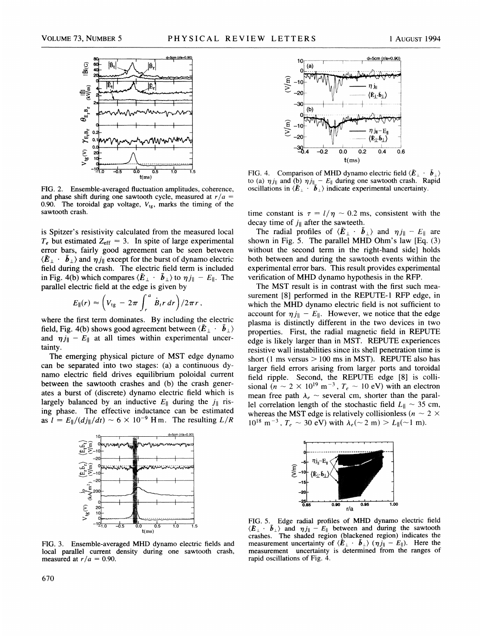

FIG. 2. Ensemble-averaged fluctuation amplitudes, coherence, and phase shift during one sawtooth cycle, measured at  $r/a =$ 0.90. The toroidal gap voltage,  $V_{tg}$ , marks the timing of the sawtooth crash.

is Spitzer's resistivity calculated from the measured local  $T_e$  but estimated  $Z_{\text{eff}} = 3$ . In spite of large experimental error bars, fairly good agreement can be seen between  $\langle \tilde{E}_{\perp} \cdot \tilde{b}_{\perp} \rangle$  and  $\eta j_{\parallel}$  except for the burst of dynamo electric field during the crash. The electric field term is included in Fig. 4(b) which compares  $\langle \tilde{E}_{\perp} \cdot \tilde{b}_{\perp} \rangle$  to  $\eta j_{\parallel} - E_{\parallel}$ . The parallel electric field at the edge is given by

$$
E_{\parallel}(r) \approx \left(V_{\text{tg}} - 2\pi \int_r^a \dot{B}_i r \, dr\right)/2\pi r,
$$

where the first term dominates. By including the electric field, Fig. 4(b) shows good agreement between  $\langle \tilde{E}_{\perp} \cdot \tilde{B}_{\perp} \rangle$ and  $\eta j_{\parallel} - E_{\parallel}$  at all times within experimental uncertainty.

The emerging physical picture of MST edge dynamo can be separated into two stages: (a) a continuous dynamo electric field drives equilibrium poloidal current between the sawtooth crashes and (b) the crash generates a burst of (discrete) dynamo electric field which is largely balanced by an inductive  $E_{\parallel}$  during the  $j_{\parallel}$  rising phase. The effective inductance can be estimated as  $l = E_{\parallel}/(d j_{\parallel}/dt) \sim 6 \times 10^{-9}$  Hm. The resulting  $L/R$ 



FIG. 3. Ensemble-averaged MHD dynamo electric fields and local parallel current density during one sawtooth crash, measured at  $r/a = 0.90$ .



FIG. 4. Comparison of MHD dynamo electric field  $\langle \tilde{E}_{\perp} \cdot \tilde{b}_{\perp} \rangle$ to (a)  $\eta_{j\parallel}$  and (b)  $\eta_{j\parallel}$  –  $E_{\parallel}$  during one sawtooth crash. Rapid oscillations in  $\langle \tilde{E}_{\perp} \cdot \tilde{b}_{\perp} \rangle$  indicate experimental uncertaint

time constant is  $\tau = l/\eta \sim 0.2$  ms, consistent with the decay time of  $j_{\parallel}$  after the sawteeth.

The radial profiles of  $\langle \mathbf{E}_{\perp} \cdot \mathbf{b}_{\perp} \rangle$  and  $\eta j_{\parallel} - E_{\parallel}$  are shown in Fig. 5. The parallel MHD Ohm's law [Eq. (3) without the second term in the right-hand side] holds both between and during the sawtooth events within the experimental error bars. This result provides experimental venfication of MHD dynamo hypothesis in the RFP.

The MST result is in contrast with the first such measurement [8] performed in the REPUTE-1 RFP edge, in which the MHD dynamo electric field is not sufficient to account for  $\eta j_{\parallel} - E_{\parallel}$ . However, we notice that the edge plasma is distinctly different in the two devices in two properties. First, the radial magnetic field in REPUTE edge is likely larger than in MST. REPUTE experiences resistive wall instabilities since its shell penetration time is short (1 ms versus  $> 100$  ms in MST). REPUTE also has larger field errors arising from larger ports and toroidal field ripple. Second, the REPUTE edge [8] is collisional ( $n \sim 2 \times 10^{19}$  m<sup>-3</sup>,  $T_e \sim 10$  eV) with an electron mean free path  $\lambda_e \sim$  several cm, shorter than the parallel correlation length of the stochastic field  $L_{\parallel} \sim 35$  cm, whereas the MST edge is relatively collisionless ( $n \sim 2 \times$  $10^{18}$  m<sup>-3</sup>,  $T_e \sim 30$  eV) with  $\lambda_e(\sim 2 \text{ m}) > L_{\parallel}(\sim 1 \text{ m}).$ 



FIG. 5. Edge radial profiles of MHD dynamo electric field  $\langle E_{\perp} \cdot \tilde{b}_{\perp} \rangle$  and  $\eta j_{\parallel} - E_{\parallel}$  between and during the sawtoothermore crashes. The shaded region (blackened region) indicates the measurement uncertainty of  $\langle \tilde{E}_{\perp} \cdot \tilde{b}_{\perp} \rangle$  ( $\eta j_{\parallel} - E_{\parallel}$ ). Here the measurement uncertainty is determined from the ranges of rapid oscillations of Fig. 4.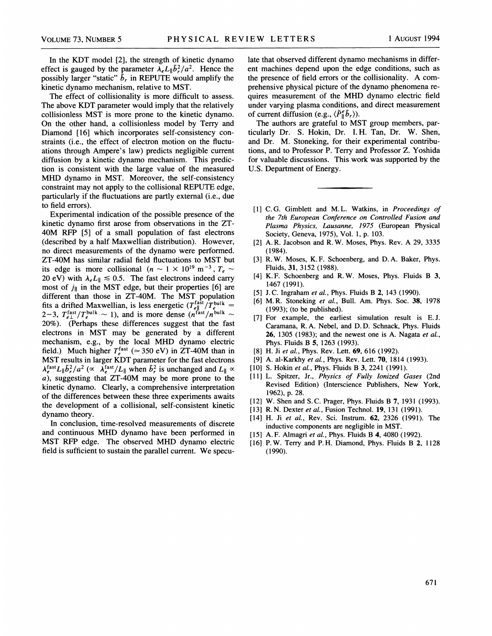In the KDT model [2], the strength of kinetic dynamo effect is gauged by the parameter  $\lambda_e L_{\parallel} \tilde{b}_r^2/a^2$ . Hence the possibly larger "static"  $\tilde{b}_r$  in REPUTE would amplify the kinetic dynamo mechanism, relative to MST.

The effect of collisionality is more difficult to assess. The above KDT parameter would imply that the relatively collisionless MST is more prone to the kinetic dynamo. On the other hand, a collisionless model by Terry and Diamond [16] which incorporates self-consistency constraints (i.e., the effect of electron motion on the fluctu ations through Ampere's law) predicts negligible current diffusion by a kinetic dynamo mechanism. This prediction is consistent with the large value of the measured MHD dynamo in MST. Moreover, the self-consistency constraint may not apply to the collisional REPUTE edge, particularly if the fluctuations are partly external (i.e., due to field errors).

Experimental indication of the possible presence of the kinetic dynamo first arose from observations in the ZT-40M RFP [5] of a small population of fast electrons (described by a half Maxwellian distribution). However, no direct measurements of the dynamo were performed. ZT-40M has similar radial field fluctuations to MST but its edge is more collisional ( $n \sim 1 \times 10^{19}$  m<sup>-3</sup>,  $T_e \sim$ 20 eV) with  $\lambda_e L_{\parallel} \le 0.5$ . The fast electrons indeed carry most of  $j_{\parallel}$  in the MST edge, but their properties [6] are different than those in ZT-40M. The MST population<br>fits a drifted Maxwellian, is less energetic  $(T_{e\parallel}^{\text{fast}}/T_e^{\text{bulk}} =$ 3,  $T_{e\perp}^{\text{fast}}/T_e^{\text{bulk}} \sim 1$ ), and is more dense  $(n^{\text{fast}}/n^{\text{bulk}})$ 20%). (Perhaps these differences suggest that the fast electrons in MST may be generated by a different mechanism, e.g., by the local MHD dynamo electric field.) Much higher  $T_e^{\text{fast}}$  ( $\simeq$  350 eV) in ZT-40M than in MST results in larger KDT parameter for the fast electrons  $\lambda_e^{\text{fast}} L_{\parallel} \tilde{b}_r^2 / a^2 \propto \lambda_e^{\text{fast}} / L_{\parallel}$  when  $\tilde{b}_r^2$  is unchanged and  $L_{\parallel} \propto$ a), suggesting that ZT-40M may be more prone to the kinetic dynamo. Clearly, a comprehensive interpretation of the differences between these three experiments awaits the development of a collisional, self-consistent kinetic dynamo theory.

In conclusion, time-resolved measurements of discrete and continuous MHD dynamo have been performed in MST RFP edge. The observed MHD dynamo electric field is sufficient to sustain the parallel current. We specu-

late that observed different dynamo mechanisms in different machines depend upon the edge conditions, such as the presence of field errors or the collisionality. A comprehensive physical picture of the dynamo phenomena requires measurement of the MHD dynamo electric field under varying plasma conditions, and direct measurement of current diffusion (e.g.,  $\langle \tilde{P}_{\parallel}^e \tilde{b}_r \rangle$ ).

The authors are grateful to MST group members, particularly Dr. S. Hokin, Dr. I.H. Tan, Dr. %. Shen, and Dr. M. Stoneking, for their experimental contributions, and to Professor P. Terry and Professor Z. Yoshida for valuable discussions. This work was supported by the U.S. Department of Energy.

- [1] C.G. Gimblett and M.L. Watkins, in Proceedings of the 7th European Conference on Controlled Fusion and Plasma Physics, Lausanne, 1975 (European Physical Society, Geneva, 1975), Vol. 1, p. 103.
- [2] A. R. Jacobson and R.W. Moses, Phys. Rev. A 29, 3335 (1984).
- [3] R.W. Moses, K.F. Schoenberg, and D.A. Baker, Phys. Fluids, 31, 3152 (1988).
- [4] K.F. Schoenberg and R.W. Moses, Phys. Fluids B 3, 1467 (1991).
- [5] J.C. Ingraham et al., Phys. Fluids B 2, 143 (1990).
- [6] M. R. Stoneking et al., Bull. Am. Phys. Soc. 38, 1978  $(1993)$ ; (to be published).
- [7] For example, the earliest simulation result is E.J. Caramana, R.A. Nebel, and D. D. Schnack, Phys. Fluids 26, 1305 (1983); and the newest one is A. Nagata et al., Phys. Fluids B 5, 1263 (1993).
- [8] H. Ji et al., Phys. Rev. Lett. 69, 616 (1992).
- [9] A. al-Karkhy et al., Phys. Rev. Lett. 70, 1814 (1993).
- [10] S. Hokin et al., Phys. Fluids B 3, 2241 (1991).
- [11] L. Spitzer, Jr., Physics of Fully Ionized Gases (2nd Revised Edition) (Interscience Publishers, New York, 1962), p. 28.
- [12] W. Shen and S.C. Prager, Phys. Fluids B 7, 1931 (1993).
- [13] R. N. Dexter et al., Fusion Technol. 19, 131 (1991).
- [14] H. Ji et al., Rev. Sci. Instrum. 62, 2326 (1991). The inductive components are negligible in MST.
- [15] A. F. Almagri et al., Phys. Fluids B 4, 4080 (1992).
- [16] P.W. Terry and P.H. Diamond, Phys. Fluids B 2, 1128 (1990).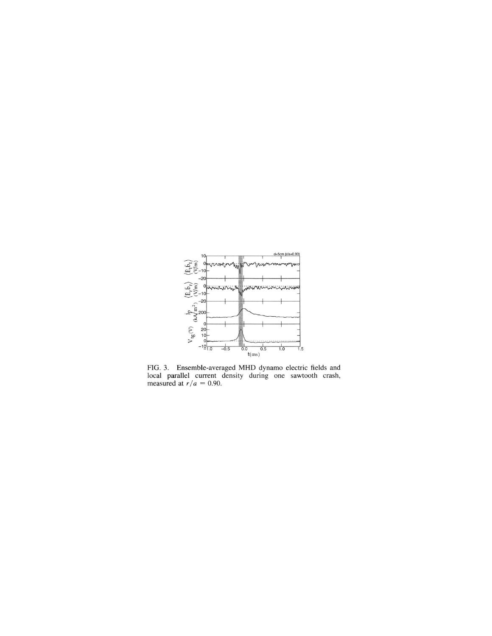

FIG. 3. Ensemble-averaged MHD dynamo electric fields and local parallel current density during one sawtooth crash, measured at  $r/a = 0.90$ .